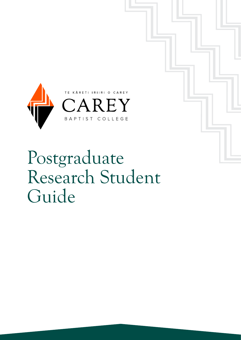

## Postgraduate Research Student Guide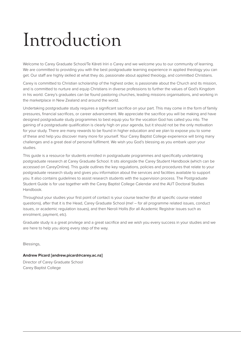# Introduction

Welcome to Carey Graduate School/Te Kāreti Iriiri o Carey and we welcome you to our community of learning. We are committed to providing you with the best postgraduate learning experience in applied theology you can get. Our staff are highly skilled at what they do, passionate about applied theology, and committed Christians.

Carey is committed to Christian scholarship of the highest order, is passionate about the Church and its mission, and is committed to nurture and equip Christians in diverse professions to further the values of God's Kingdom in his world. Carey's graduates can be found pastoring churches, leading missions organisations, and working in the marketplace in New Zealand and around the world.

Undertaking postgraduate study requires a significant sacrifice on your part. This may come in the form of family pressures, financial sacrifices, or career advancement. We appreciate the sacrifice you will be making and have designed postgraduate study programmes to best equip you for the vocation God has called you into. The gaining of a postgraduate qualification is clearly high on your agenda, but it should not be the only motivation for your study. There are many rewards to be found in higher education and we plan to expose you to some of these and help you discover many more for yourself. Your Carey Baptist College experience will bring many challenges and a great deal of personal fulfilment. We wish you God's blessing as you embark upon your studies.

This guide is a resource for students enrolled in postgraduate programmes and specifically undertaking postgraduate research at Carey Graduate School. It sits alongside the Carey Student Handbook (which can be accessed on CareyOnline). This guide outlines the key regulations, policies and procedures that relate to your postgraduate research study and gives you information about the services and facilities available to support you. It also contains guidelines to assist research students with the supervision process. The Postgraduate Student Guide is for use together with the Carey Baptist College Calendar and the AUT Doctoral Studies Handbook.

Throughout your studies your first point of contact is your course teacher (for all specific course related questions), after that it is the Head, Carey Graduate School (me! – for all programme related issues, conduct issues, or academic regulation issues), and then Neroli Hollis (for all Academic Registrar issues such as enrolment, payment, etc).

Graduate study is a great privilege and a great sacrifice and we wish you every success in your studies and we are here to help you along every step of the way.

Blessings,

### **Andrew Picard [andrew.picard@carey.ac.nz]**

Director of Carey Graduate School Carey Baptist College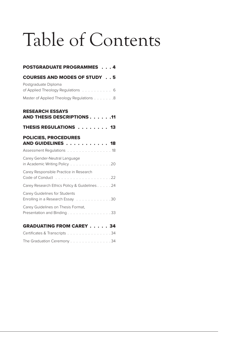# Table of Contents

| <b>POSTGRADUATE PROGRAMMES</b> 4                                   |  |
|--------------------------------------------------------------------|--|
| <b>COURSES AND MODES OF STUDY 5</b>                                |  |
| Postgraduate Diploma<br>of Applied Theology Regulations 6          |  |
| Master of Applied Theology Regulations 8                           |  |
| <b>RESEARCH ESSAYS</b><br>AND THESIS DESCRIPTIONS 11               |  |
| THESIS REGULATIONS 13                                              |  |
| <b>POLICIES, PROCEDURES</b><br>AND GUIDELINES 18                   |  |
| Assessment Regulations 18                                          |  |
| Carey Gender-Neutral Language<br>in Academic Writing Policy 20     |  |
| Carey Responsible Practice in Research                             |  |
| Carey Research Ethics Policy & Guidelines. 24                      |  |
| Carey Guidelines for Students<br>Enrolling in a Research Essay 30  |  |
| Carey Guidelines on Thesis Format,<br>Presentation and Binding. 33 |  |
| <b>GRADUATING FROM CAREY 34</b>                                    |  |

| Certificates & Transcripts 34 |  |  |  |  |  |  |  |
|-------------------------------|--|--|--|--|--|--|--|
| The Graduation Ceremony 34    |  |  |  |  |  |  |  |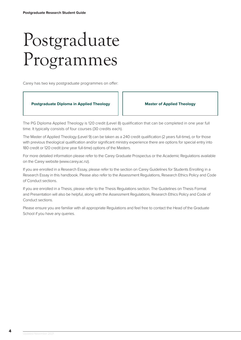## <span id="page-3-0"></span>Postgraduate Programmes

Carey has two key postgraduate programmes on offer:



The PG Diploma Applied Theology is 120 credit (Level 8) qualification that can be completed in one year full time. It typically consists of four courses (30 credits each).

The Master of Applied Theology (Level 9) can be taken as a 240 credit qualification (2 years full-time), or for those with previous theological qualification and/or significant ministry experience there are options for special entry into 180 credit or 120 credit (one year full-time) options of the Masters.

For more detailed information please refer to the Carey Graduate Prospectus or the Academic Regulations available on the Carey website (www.carey.ac.nz).

If you are enrolled in a Research Essay, please refer to the section on Carey Guidelines for Students Enrolling in a Research Essay in this handbook. Please also refer to the Assessment Regulations, Research Ethics Policy and Code of Conduct sections.

If you are enrolled in a Thesis, please refer to the Thesis Regulations section. The Guidelines on Thesis Format and Presentation will also be helpful, along with the Assessment Regulations, Research Ethics Policy and Code of Conduct sections.

Please ensure you are familiar with all appropriate Regulations and feel free to contact the Head of the Graduate School if you have any queries.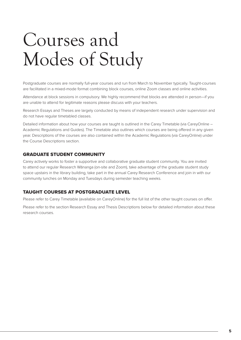# <span id="page-4-0"></span>Courses and Modes of Study

Postgraduate courses are normally full-year courses and run from March to November typically. Taught-courses are facilitated in a mixed-mode format combining block courses, online Zoom classes and online activities.

Attendance at block sessions in compulsory. We highly recommend that blocks are attended in person—if you are unable to attend for legitimate reasons please discuss with your teachers.

Research Essays and Theses are largely conducted by means of independent research under supervision and do not have regular timetabled classes.

Detailed information about how your courses are taught is outlined in the Carey Timetable (via CareyOnline – Academic Regulations and Guides). The Timetable also outlines which courses are being offered in any given year. Descriptions of the courses are also contained within the Academic Regulations (via CareyOnline) under the Course Descriptions section.

### GRADUATE STUDENT COMMUNITY

Carey actively works to foster a supportive and collaborative graduate student community. You are invited to attend our regular Research Wānanga (on-site and Zoom), take advantage of the graduate student study space upstairs in the library building, take part in the annual Carey Research Conference and join in with our community lunches on Monday and Tuesdays during semester teaching weeks.

### TAUGHT COURSES AT POSTGRADUATE LEVEL

Please refer to Carey Timetable (available on CareyOnline) for the full list of the other taught courses on offer.

Please refer to the section Research Essay and Thesis Descriptions below for detailed information about these research courses.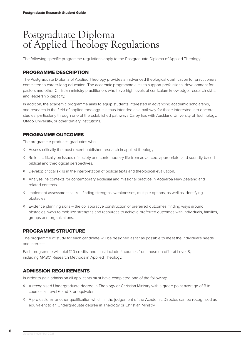### <span id="page-5-0"></span>Postgraduate Diploma of Applied Theology Regulations

The following specific programme regulations apply to the Postgraduate Diploma of Applied Theology.

### PROGRAMME DESCRIPTION

The Postgraduate Diploma of Applied Theology provides an advanced theological qualification for practitioners committed to career-long education. The academic programme aims to support professional development for pastors and other Christian ministry practitioners who have high levels of curriculum knowledge, research skills, and leadership capacity.

In addition, the academic programme aims to equip students interested in advancing academic scholarship, and research in the field of applied theology. It is thus intended as a pathway for those interested into doctoral studies, particularly through one of the established pathways Carey has with Auckland University of Technology, Otago University, or other tertiary institutions.

### PROGRAMME OUTCOMES

The programme produces graduates who:

- ◊ Assess critically the most recent published research in applied theology
- ◊ Reflect critically on issues of society and contemporary life from advanced, appropriate, and soundly-based biblical and theological perspectives.
- ◊ Develop critical skills in the interpretation of biblical texts and theological evaluation.
- ◊ Analyse life contexts for contemporary ecclesial and missional practice in Aotearoa New Zealand and related contexts.
- ◊ Implement assessment skills finding strengths, weaknesses, multiple options, as well as identifying obstacles.
- ◊ Evidence planning skills the collaborative construction of preferred outcomes, finding ways around obstacles, ways to mobilize strengths and resources to achieve preferred outcomes with individuals, families, groups and organizations.

### PROGRAMME STRUCTURE

The programme of study for each candidate will be designed as far as possible to meet the individual's needs and interests.

Each programme will total 120 credits, and must include 4 courses from those on offer at Level 8; including MA801 Research Methods in Applied Theology.

### ADMISSION REQUIREMENTS

In order to gain admission all applicants must have completed one of the following:

- ◊ A recognised Undergraduate degree in Theology or Christian Ministry with a grade point average of B in courses at Level 6 and 7, or equivalent.
- ◊ A professional or other qualification which, in the judgement of the Academic Director, can be recognised as equivalent to an Undergraduate degree in Theology or Christian Ministry.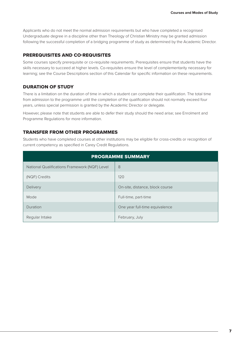Applicants who do not meet the normal admission requirements but who have completed a recognised Undergraduate degree in a discipline other than Theology of Christian Ministry may be granted admission following the successful completion of a bridging programme of study as determined by the Academic Director.

### PREREQUISITES AND CO-REQUISITES

Some courses specify prerequisite or co-requisite requirements. Prerequisites ensure that students have the skills necessary to succeed at higher levels. Co-requisites ensure the level of complementarity necessary for learning; see the Course Descriptions section of this Calendar for specific information on these requirements.

### DURATION OF STUDY

There is a limitation on the duration of time in which a student can complete their qualification. The total time from admission to the programme until the completion of the qualification should not normally exceed four years, unless special permission is granted by the Academic Director or delegate.

However, please note that students are able to defer their study should the need arise; see Enrolment and Programme Regulations for more information.

### TRANSFER FROM OTHER PROGRAMMES

Students who have completed courses at other institutions may be eligible for cross-credits or recognition of current competency as specified in Carey Credit Regulations.

| <b>PROGRAMME SUMMARY</b>                      |                                 |  |  |  |  |  |
|-----------------------------------------------|---------------------------------|--|--|--|--|--|
| National Qualifications Framework (NQF) Level | 8                               |  |  |  |  |  |
| (NQF) Credits                                 | 120                             |  |  |  |  |  |
| Delivery                                      | On-site, distance, block course |  |  |  |  |  |
| Mode                                          | Full-time, part-time            |  |  |  |  |  |
| Duration                                      | One year full-time equivalence  |  |  |  |  |  |
| Regular Intake                                | February, July                  |  |  |  |  |  |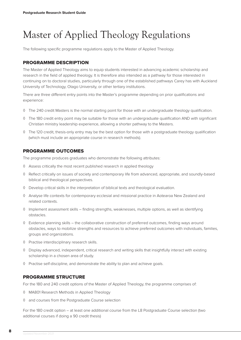## <span id="page-7-0"></span>Master of Applied Theology Regulations

The following specific programme regulations apply to the Master of Applied Theology.

### PROGRAMME DESCRIPTION

The Master of Applied Theology aims to equip students interested in advancing academic scholarship and research in the field of applied theology. It is therefore also intended as a pathway for those interested in continuing on to doctoral studies, particularly through one of the established pathways Carey has with Auckland University of Technology, Otago University, or other tertiary institutions.

There are three different entry points into the Master's programme depending on prior qualifications and experience:

- ◊ The 240 credit Masters is the normal starting point for those with an undergraduate theology qualification.
- ◊ The 180 credit entry point may be suitable for those with an undergraduate qualification AND with significant Christian ministry leadership experience, allowing a shorter pathway to the Masters.
- ◊ The 120 credit, thesis-only entry may be the best option for those with a postgraduate theology qualification (which must include an appropriate course in research methods).

### PROGRAMME OUTCOMES

The programme produces graduates who demonstrate the following attributes:

- ◊ Assess critically the most recent published research in applied theology
- ◊ Reflect critically on issues of society and contemporary life from advanced, appropriate, and soundly-based biblical and theological perspectives.
- ◊ Develop critical skills in the interpretation of biblical texts and theological evaluation.
- ◊ Analyse life contexts for contemporary ecclesial and missional practice in Aotearoa New Zealand and related contexts.
- ◊ Implement assessment skills finding strengths, weaknesses, multiple options, as well as identifying obstacles.
- ◊ Evidence planning skills the collaborative construction of preferred outcomes, finding ways around obstacles, ways to mobilize strengths and resources to achieve preferred outcomes with individuals, families, groups and organizations.
- ◊ Practise interdisciplinary research skills.
- ◊ Display advanced, independent, critical research and writing skills that insightfully interact with existing scholarship in a chosen area of study.
- ◊ Practise self-discipline, and demonstrate the ability to plan and achieve goals.

### PROGRAMME STRUCTURE

For the 180 and 240 credit options of the Master of Applied Theology, the programme comprises of:

- ◊ MA801 Research Methods in Applied Theology
- ◊ and courses from the Postgraduate Course selection

For the 180 credit option – at least one additional course from the L8 Postgraduate Course selection (two additional courses if doing a 90 credit thesis)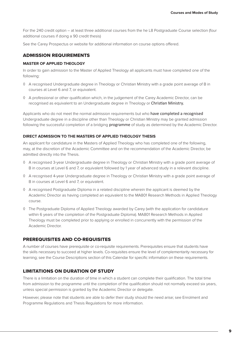For the 240 credit option – at least three additional courses from the he L8 Postgraduate Course selection (four additional courses if doing a 90 credit thesis)

See the Carey Prospectus or website for additional information on course options offered.

### ADMISSION REQUIREMENTS

### **MASTER OF APPLIED THEOLOGY**

In order to gain admission to the Master of Applied Theology all applicants must have completed one of the following:

- ◊ A recognised Undergraduate degree in Theology or Christian Ministry with a grade point average of B in courses at Level 6 and 7, or equivalent.
- ◊ A professional or other qualification which, in the judgement of the Carey Academic Director, can be recognised as equivalent to an Undergraduate degree in Theology or Christian Ministry.

Applicants who do not meet the normal admission requirements but who have completed a recognised Undergraduate degree in a discipline other than Theology or Christian Ministry may be granted admission following the successful completion of a bridging **programme** of study as determined by the Academic Director.

### **DIRECT ADMISSION TO THE MASTERS OF APPLIED THEOLOGY THESIS**

An applicant for candidature in the Masters of Applied Theology who has completed one of the following, may, at the discretion of the Academic Committee and on the recommendation of the Academic Director, be admitted directly into the Thesis.

- ◊ A recognised 3-year Undergraduate degree in Theology or Christian Ministry with a grade point average of B in courses at Level 6 and 7, or equivalent followed by 1 year of advanced study in a relevant discipline.
- ◊ A recognised 4-year Undergraduate degree in Theology or Christian Ministry with a grade point average of B in courses at Level 6 and 7, or equivalent.
- ◊ A recognised Postgraduate Diploma in a related discipline wherein the applicant is deemed by the Academic Director as having completed an equivalent to the MA801 Research Methods in Applied Theology course.
- ◊ The Postgraduate Diploma of Applied Theology awarded by Carey (with the application for candidature within 6 years of the completion of the Postgraduate Diploma). MA801 Research Methods in Applied Theology must be completed prior to applying or enrolled in concurrently with the permission of the Academic Director.

### PREREQUISITES AND CO-REQUISITES

A number of courses have prerequisite or co-requisite requirements. Prerequisites ensure that students have the skills necessary to succeed at higher levels. Co-requisites ensure the level of complementarity necessary for learning; see the Course Descriptions section of this Calendar for specific information on these requirements.

### LIMITATIONS ON DURATION OF STUDY

There is a limitation on the duration of time in which a student can complete their qualification. The total time from admission to the programme until the completion of the qualification should not normally exceed six years, unless special permission is granted by the Academic Director or delegate.

However, please note that students are able to defer their study should the need arise; see Enrolment and Programme Regulations and Thesis Regulations for more information.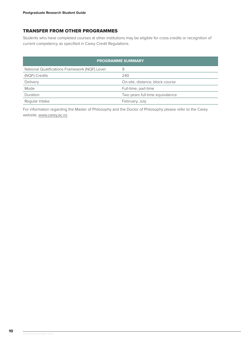### TRANSFER FROM OTHER PROGRAMMES

Students who have completed courses at other institutions may be eligible for cross-credits or recognition of current competency as specified in Carey Credit Regulations.

| <b>PROGRAMME SUMMARY</b>                      |                                 |  |  |  |  |
|-----------------------------------------------|---------------------------------|--|--|--|--|
| National Qualifications Framework (NQF) Level | 9                               |  |  |  |  |
| (NQF) Credits                                 | 240                             |  |  |  |  |
| Delivery                                      | On-site, distance, block course |  |  |  |  |
| Mode                                          | Full-time, part-time            |  |  |  |  |
| Duration                                      | Two years full-time equivalence |  |  |  |  |
| Regular Intake                                | February, July                  |  |  |  |  |

For information regarding the Master of Philosophy and the Doctor of Philosophy please refer to the Carey website, www.carey.ac.nz.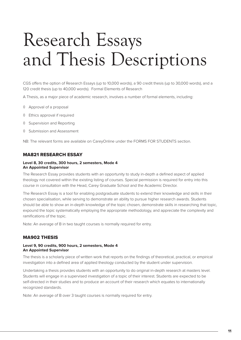# <span id="page-10-0"></span>Research Essays and Thesis Descriptions

CGS offers the option of Research Essays (up to 10,000 words), a 90 credit thesis (up to 30,000 words), and a 120 credit thesis (up to 40,000 words). Formal Elements of Research

A Thesis, as a major piece of academic research, involves a number of formal elements, including:

- ◊ Approval of a proposal
- ◊ Ethics approval if required
- ◊ Supervision and Reporting
- ◊ Submission and Assessment

NB: The relevant forms are available on CareyOnline under the FORMS FOR STUDENTS section.

### MA821 RESEARCH ESSAY

#### **Level 8, 30 credits, 300 hours, 2 semesters, Mode 4 An Appointed Supervisor**

The Research Essay provides students with an opportunity to study in-depth a defined aspect of applied theology not covered within the existing listing of courses. Special permission is required for entry into this course in consultation with the Head, Carey Graduate School and the Academic Director.

The Research Essay is a tool for enabling postgraduate students to extend their knowledge and skills in their chosen specialisation, while serving to demonstrate an ability to pursue higher research awards. Students should be able to show an in-depth knowledge of the topic chosen, demonstrate skills in researching that topic, expound the topic systematically employing the appropriate methodology, and appreciate the complexity and ramifications of the topic.

Note: An average of B in two taught courses is normally required for entry.

### MA902 THESIS

### **Level 9, 90 credits, 900 hours, 2 semesters, Mode 4 An Appointed Supervisor**

The thesis is a scholarly piece of written work that reports on the findings of theoretical, practical, or empirical investigation into a defined area of applied theology conducted by the student under supervision.

Undertaking a thesis provides students with an opportunity to do original in-depth research at masters level. Students will engage in a supervised investigation of a topic of their interest. Students are expected to be self-directed in their studies and to produce an account of their research which equates to internationally recognized standards.

Note: An average of B over 3 taught courses is normally required for entry.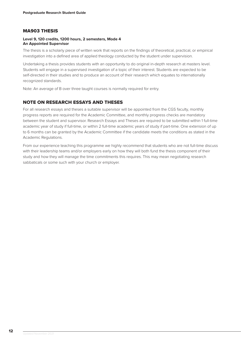### MA903 THESIS

### **Level 9, 120 credits, 1200 hours, 2 semesters, Mode 4 An Appointed Supervisor**

The thesis is a scholarly piece of written work that reports on the findings of theoretical, practical, or empirical investigation into a defined area of applied theology conducted by the student under supervision.

Undertaking a thesis provides students with an opportunity to do original in-depth research at masters level. Students will engage in a supervised investigation of a topic of their interest. Students are expected to be self-directed in their studies and to produce an account of their research which equates to internationally recognized standards.

Note: An average of B over three taught courses is normally required for entry.

### NOTE ON RESEARCH ESSAYS AND THESES

For all research essays and theses a suitable supervisor will be appointed from the CGS faculty, monthly progress reports are required for the Academic Committee, and monthly progress checks are mandatory between the student and supervisor. Research Essays and Theses are required to be submitted within 1 full-time academic year of study if full-time, or within 2 full-time academic years of study if part-time. One extension of up to 6 months can be granted by the Academic Committee if the candidate meets the conditions as stated in the Academic Regulations.

From our experience teaching this programme we highly recommend that students who are not full-time discuss with their leadership teams and/or employers early on how they will both fund the thesis component of their study and how they will manage the time commitments this requires. This may mean negotiating research sabbaticals or some such with your church or employer.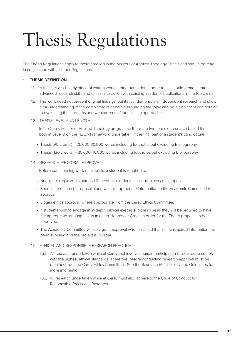# <span id="page-12-0"></span>Thesis Regulations

The Thesis Regulations apply to those enrolled in the Masters of Applied Theology Thesis and should be read in conjunction with all other Regulations.

### **1. THESIS DEFINITION**

- 1.1 A thesis is a scholarly piece of written work carried out under supervision. It should demonstrate advanced research skills and critical interaction with existing academic publications in the topic area.
- 1.2 The work need not present original findings, but it must demonstrate independent research and show a full understanding of the complexity of debate surrounding the topic and be a significant contribution to evaluating the strengths and weaknesses of the existing approaches.
- 1.3 THESIS LEVEL AND LENGTH

In the Carey Master of Applied Theology programme there are two forms of research based theses both at Level 9 on the NZQA Framework, undertaken in the final part of a student's candidature:

- Thesis (90 credits) 25,000-30,000 words including footnotes but excluding Bibliography.
- Thesis (120 credits) 35,000-40,000 words including footnotes but excluding Bibliography.
- 1.4 RESEARCH PROPOSAL APPROVAL

Before commencing work on a thesis, a student is required to:

- Negotiate a topic with a potential Supervisor, in order to construct a research proposal.
- Submit the research proposal along with all appropriate information to the Academic Committee for approval.
- Obtain ethics approval, where appropriate, from the Carey Ethics Committee.
- If students wish to engage in in-depth biblical exegesis in their Thesis they will be required to have the appropriate language skills in either Hebrew or Greek in order for the Thesis proposal to be approved.
- The Academic Committee will only grant approval when satisfied that all the required information has been supplied and the project is in order.

### 1.5 ETHICAL AND RESPONSIBLE RESEARCH PRACTICE

- 1.5.1 All research undertaken while at Carey that involves human participation is required to comply with the highest ethical standards. Therefore, before conducting research approval must be obtained from the Carey Ethics Committee. See the Research Ethics Policy and Guidelines for more information.
- 1.5.2 All research undertaken while at Carey must also adhere to the Code of Conduct for Responsible Practice in Research.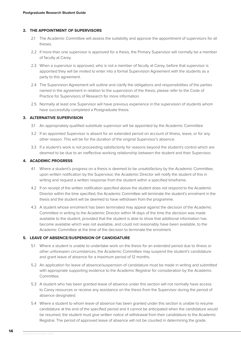### **2. THE APPOINTMENT OF SUPERVISORS**

- 2.1 The Academic Committee will assess the suitability and approve the appointment of supervisors for all theses.
- 2.2 If more than one supervisor is approved for a thesis, the Primary Supervisor will normally be a member of faculty at Carey.
- 2.3 When a supervisor is approved, who is not a member of faculty at Carey, before that supervisor is appointed they will be invited to enter into a formal Supervision Agreement with the students as a party to this agreement.
- 2.4 The Supervision Agreement will outline and clarify the obligations and responsibilities of the parties named in the agreement in relation to the supervision of the thesis; please refer to the Code of Practice for Supervisors of Research for more information.
- 2.5 Normally at least one Supervisor will have previous experience in the supervision of students whom have successfully completed a Postgraduate thesis.

### **3. ALTERNATIVE SUPERVISION**

- 3.1 An appropriately qualified substitute supervisor will be appointed by the Academic Committee
- 3.2 If an appointed Supervisor is absent for an extended period on account of illness, leave, or for any other reason. This will be for the duration of the original Supervisor's absence.
- 3.3 If a student's work is not proceeding satisfactorily for reasons beyond the student's control which are deemed to be due to an ineffective working relationship between the student and their Supervisor.

### **4. ACADEMIC PROGRESS**

- 4.1 Where a student's progress on a thesis is deemed to be unsatisfactory by the Academic Committee, upon written notification by the Supervisor, the Academic Director will notify the student of this in writing and request a written response from the student within a specified timeframe.
- 4.2 If on receipt of the written notification specified above the student does not respond to the Academic Director within the time specified, the Academic Committee will terminate the student's enrolment in the thesis and the student will be deemed to have withdrawn from the programme.
- 4.3 A student whose enrolment has been terminated may appeal against the decision of the Academic Committee in writing to the Academic Director within 14 days of the time the decision was made available to the student, provided that the student is able to show that additional information has become available which was not available, and could not reasonably have been available, to the Academic Committee at the time of the decision to terminate the enrolment.

### **5. LEAVE OF ABSENCE/SUSPENSION OF CANDIDATURE**

- 5.1 Where a student is unable to undertake work on the thesis for an extended period due to illness or other unforeseen circumstances, the Academic Committee may suspend the student's candidature and grant leave of absence for a maximum period of 12 months.
- 5.2 An application for leave of absence/suspension of candidature must be made in writing and submitted with appropriate supporting evidence to the Academic Registrar for consideration by the Academic Committee.
- 5.3 A student who has been granted leave of absence under this section will not normally have access to Carey resources or receive any assistance on the thesis from the Supervisor during the period of absence designated.
- 5.4 Where a student to whom leave of absence has been granted under this section is unable to resume candidature at the end of the specified period and it cannot be anticipated when the candidature would be resumed, the student must give written notice of withdrawal from their candidature to the Academic Registrar. The period of approved leave of absence will not be counted in determining the grade.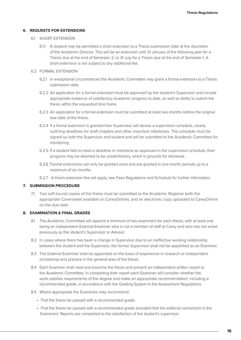### **6. REQUESTS FOR EXTENSIONS**

- 6.1 SHORT EXTENSION
	- 6.1.1 A student may be permitted a short extension to a Thesis submission date at the discretion of the Academic Director. This will be an extension until 31 January of the following year for a Thesis due at the end of Semester 2, or 31 July for a Thesis due at the end of Semester 1. A short extension is not subject to any additional fee.

### 6.2 FORMAL EXTENSION

- 6.2.1 In exceptional circumstances the Academic Committee may grant a formal extension to a Thesis submission date.
- 6.2.2 An application for a formal extension must be approved by the student's Supervisor and include appropriate evidence of satisfactory academic progress to date, as well as ability to submit the thesis within the requested time frame.
- 6.2.3 An application for a formal extension must be submitted at least two months before the original due date of the thesis.
- 6.2.4 If a formal extension is granted their Supervisor will devise a supervision schedule, clearly outlining deadlines for draft chapters and other important milestones. This schedule must be signed by both the Supervisor and student and will be submitted to the Academic Committee for monitoring.
- 6.2.5 If a student fails to meet a deadline or milestone as approved in the supervision schedule, their progress may be deemed to be unsatisfactory, which is grounds for dismissal.
- 6.2.6 Formal extensions can only be granted once and are granted in one month periods up to a maximum of six months.
- 6.2.7 A thesis extension fee will apply, see Fees Regulations and Schedule for further information.

### **7. SUBMISSION PROCEDURE**

7.1 Two soft bound copies of the thesis must be submitted to the Academic Registrar (with the appropriate Coversheet available on CareyOnline), and an electronic copy uploaded to CareyOnline on the due date.

#### **8. EXAMINATION & FINAL GRADES**

- 8.1 The Academic Committee will appoint a minimum of two examiners for each thesis, with at least one being an independent External Examiner who is not a member of staff at Carey and who has not acted previously as the student's Supervisor or Advisor.
- 8.2 In cases where there has been a change in Supervisor due to an ineffective working relationship between the student and the Supervisor, the former Supervisor shall not be appointed as an Examiner.
- 8.3 The External Examiner shall be appointed on the basis of experience in research or independent scholarship and practice in the general area of the thesis.
- 8.4 Each Examiner shall read and examine the thesis and present an independent written report to the Academic Committee. In completing their report each Examiner will consider whether the work satisfies requirements of the degree and make an appropriate recommendation, including a recommended grade, in accordance with the Grading System in the Assessment Regulations.
- 8.5 Where appropriate the Examiners may recommend:
	- That the thesis be passed with a recommended grade.
	- That the thesis be passed with a recommended grade provided that the editorial corrections in the Examiners' Reports are completed to the satisfaction of the student's supervisor.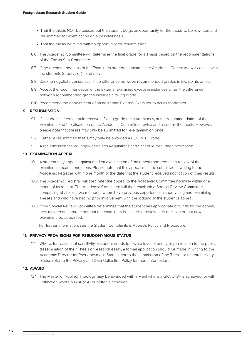- That the thesis NOT be passed but the student be given opportunity for the thesis to be rewritten and resubmitted for examination on a pass/fail basis.
- That the thesis be failed with no opportunity for resubmission.
- 8.6 The Academic Committee will determine the final grade for a Thesis based on the recommendations of the Thesis Sub-Committee.
- 8.7 If the recommendations of the Examiners are not unanimous the Academic Committee will consult with the students Supervisor(s) and may:
- 8.8 Seek to negotiate consensus, if the difference between recommended grades is two points or less.
- 8.9 Accept the recommendation of the External Examiner, except in instances when the difference between recommended grades includes a failing grade.
- 8.10 Recommend the appointment of an additional External Examiner to act as moderator.

### **9. RESUBMISSION**

- 9.1 If a student's thesis should receive a failing grade the student may, at the recommendation of the Examiners and the discretion of the Academic Committee, revise and resubmit the thesis. However, please note that theses may only be submitted for re-examination once.
- 9.2 Further a resubmitted thesis may only be awarded a C, D, or E Grade.
- 9.3 A resubmission fee will apply, see Fees Regulations and Schedule for further information.

### **10. EXAMINATION APPEAL**

- 10.1 A student may appeal against the first examination of their thesis and request a review of the examiner's recommendations. Please note that this appeal must be submitted in writing to the Academic Registrar within one month of the date that the student received notification of their results.
- 10.2 The Academic Registrar will then refer the appeal to the Academic Committee normally within one month of its receipt. The Academic Committee will then establish a Special Review Committee, comprising of at least two members whom have previous experience in supervising and examining Theses and who have had no prior involvement with the lodging of the student's appeal.
- 10.3 If the Special Review Committee determines that the student has appropriate grounds for the appeal, they may recommend either that the examiners be asked to review their decision or that new examiners be appointed.

For further information, see the Student Complaints & Appeals Policy and Procedure.

### **11. PRIVACY PROVISIONS FOR PSEUDONYMOUS STATUS**

11.1 Where, for reasons of sensitivity, a student needs to have a level of anonymity in relation to the public dissemination of their Thesis or research essay, a formal application should be made in writing to the Academic Director for Pseudonymous Status prior to the submission of the Thesis or research essay; please refer to the Privacy and Data Collection Policy for more information.

### **12. AWARD**

12.1 The Master of Applied Theology may be awarded with a Merit where a GPA of B+ is achieved, or with Distinction where a GPA of A- or better is achieved.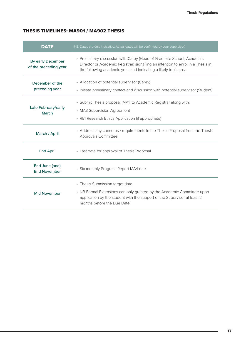### THESIS TIMELINES: MA901 / MA902 THESIS

| <b>DATE</b>                                | (NB: Dates are only indicative. Actual dates will be confirmed by your supervisor)                                                                                                                                            |
|--------------------------------------------|-------------------------------------------------------------------------------------------------------------------------------------------------------------------------------------------------------------------------------|
| By early December<br>of the preceding year | • Preliminary discussion with Carey (Head of Graduate School, Academic<br>Director or Academic Registrar) signalling an intention to enrol in a Thesis in<br>the following academic year, and indicating a likely topic area. |
| December of the<br>preceding year          | • Allocation of potential supervisor (Carey)<br>• Initiate preliminary contact and discussion with potential supervisor (Student)                                                                                             |
| Late February/early<br>March               | • Submit Thesis proposal (MA1) to Academic Registrar along with:<br>• MA3 Supervision Agreement<br>• RE1 Research Ethics Application (if appropriate)                                                                         |
| March / April                              | • Address any concerns / requirements in the Thesis Proposal from the Thesis<br><b>Approvals Committee</b>                                                                                                                    |
| <b>End April</b>                           | • Last date for approval of Thesis Proposal                                                                                                                                                                                   |
| End June (and)<br><b>End November</b>      | • Six monthly Progress Report MA4 due                                                                                                                                                                                         |
| <b>Mid November</b>                        | • Thesis Submission target date<br>• NB Formal Extensions can only granted by the Academic Committee upon<br>application by the student with the support of the Supervisor at least 2<br>months before the Due Date.          |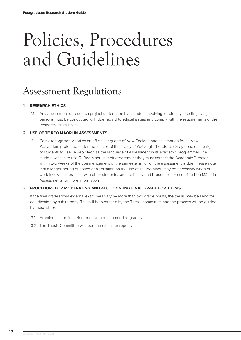# <span id="page-17-0"></span>Policies, Procedures and Guidelines

## Assessment Regulations

### **1. RESEARCH ETHICS**

1.1 Any assessment or research project undertaken by a student involving, or directly affecting living persons must be conducted with due regard to ethical issues and comply with the requirements of the Research Ethics Policy.

### **2. USE OF TE REO MĀORI IN ASSESSMENTS**

2.1 Carey recognises Māori as an official language of New Zealand and as a tāonga for all New Zealanders protected under the articles of the Treaty of Waitangi. Therefore, Carey upholds the right of students to use Te Reo Māori as the language of assessment in its academic programmes. If a student wishes to use Te Reo Māori in their assessment they must contact the Academic Director within two weeks of the commencement of the semester in which the assessment is due. Please note that a longer period of notice or a limitation on the use of Te Reo Māori may be necessary when oral work involves interaction with other students; see the Policy and Procedure for use of Te Reo Māori in Assessments for more information.

### **3. PROCEDURE FOR MODERATING AND ADJUDICATING FINAL GRADE FOR THESIS**

If the final grades from external examiners vary by more than two grade points, the thesis may be send for adjudication by a third party. This will be overseen by the Thesis committee, and the process will be guided by these steps:

- 3.1 Examiners send in their reports with recommended grades
- 3.2 The Thesis Committee will read the examiner reports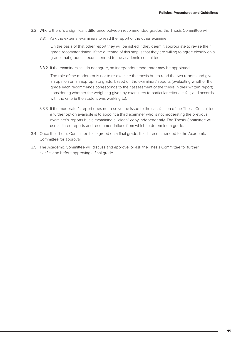- 3.3 Where there is a significant difference between recommended grades, the Thesis Committee will
	- 3.3.1 Ask the external examiners to read the report of the other examiner.

On the basis of that other report they will be asked if they deem it appropriate to revise their grade recommendation. If the outcome of this step is that they are willing to agree closely on a grade, that grade is recommended to the academic committee.

3.3.2 If the examiners still do not agree, an independent moderator may be appointed.

The role of the moderator is not to re-examine the thesis but to read the two reports and give an opinion on an appropriate grade, based on the examiners' reports (evaluating whether the grade each recommends corresponds to their assessment of the thesis in their written report; considering whether the weighting given by examiners to particular criteria is fair, and accords with the criteria the student was working to).

- 3.3.3 If the moderator's report does not resolve the issue to the satisfaction of the Thesis Committee, a further option available is to appoint a third examiner who is not moderating the previous examiner's' reports but is examining a "clean" copy independently. The Thesis Committee will use all three reports and recommendations from which to determine a grade.
- 3.4 Once the Thesis Committee has agreed on a final grade, that is recommended to the Academic Committee for approval.
- 3.5 The Academic Committee will discuss and approve, or ask the Thesis Committee for further clarification before approving a final grade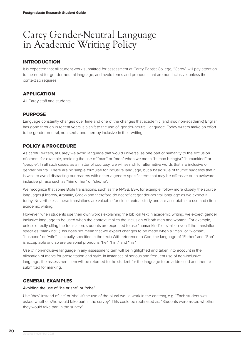### <span id="page-19-0"></span>Carey Gender-Neutral Language in Academic Writing Policy

### INTRODUCTION

It is expected that all student work submitted for assessment at Carey Baptist College, "Carey" will pay attention to the need for gender-neutral language, and avoid terms and pronouns that are non-inclusive, unless the context so requires.

### APPLICATION

All Carey staff and students.

### PURPOSE

Language constantly changes over time and one of the changes that academic (and also non-academic) English has gone through in recent years is a shift to the use of 'gender-neutral' language. Today writers make an effort to be gender-neutral, non-sexist and thereby inclusive in their writing.

### POLICY & PROCEDURE

As careful writers, at Carey we avoid language that would universalise one part of humanity to the exclusion of others: for example, avoiding the use of "man" or "men" when we mean "human being(s)," "humankind," or "people". In all such cases, as a matter of courtesy, we will search for alternative words that are inclusive or gender neutral. There are no simple formulae for inclusive language, but a basic 'rule of thumb' suggests that it is wise to avoid distracting our readers with either a gender specific term that may be offensive or an awkward inclusive phrase such as "him or her" or "she/he".

We recognize that some Bible translations, such as the NASB, ESV, for example, follow more closely the source languages (Hebrew, Aramaic, Greek) and therefore do not reflect gender-neutral language as we expect it today. Nevertheless, these translations are valuable for close textual study and are acceptable to use and cite in academic writing.

However, when students use their own words explaining the biblical text in academic writing, we expect gender inclusive language to be used when the context implies the inclusion of both men and women. For example, unless directly citing the translation, students are expected to use "humankind" or similar even if the translation specifies "mankind." (This does not mean that we expect changes to be made when a "man" or "woman", "husband" or "wife" is actually specified in the text.) With reference to God, the language of "Father" and "Son" is acceptable and so are personal pronouns "he," "him," and "his."

Use of non-inclusive language in any assessment item will be highlighted and taken into account in the allocation of marks for presentation and style. In instances of serious and frequent use of non-inclusive language, the assessment item will be returned to the student for the language to be addressed and then resubmitted for marking.

### GENERAL EXAMPLES

### Avoiding the use of "he or she" or "s/he"

Use 'they' instead of 'he' or 'she' (if the use of the plural would work in the context), e.g. "Each student was asked whether s/he would take part in the survey." This could be rephrased as: "Students were asked whether they would take part in the survey."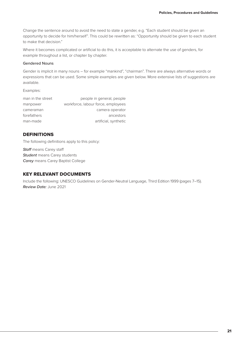Change the sentence around to avoid the need to state a gender, e.g. "Each student should be given an opportunity to decide for him/herself". This could be rewritten as: "Opportunity should be given to each student to make that decision."

Where it becomes complicated or artificial to do this, it is acceptable to alternate the use of genders, for example throughout a list, or chapter by chapter.

### Gendered Nouns

Gender is implicit in many nouns – for example "mankind", "chairman". There are always alternative words or expressions that can be used. Some simple examples are given below. More extensive lists of suggestions are available.

Examples:

| man in the street | people in general, people          |
|-------------------|------------------------------------|
| manpower          | workforce, labour force, employees |
| cameraman         | camera operator                    |
| forefathers       | ancestors                          |
| man-made          | artificial, synthetic              |

### **DEFINITIONS**

The following definitions apply to this policy:

*Staff* means Carey staff *Student* means Carey students *Carey* means Carey Baptist College

### KEY RELEVANT DOCUMENTS

Include the following: UNESCO Guidelines on Gender-Neutral Language, Third Edition 1999 (pages 7–15). *Review Date:* June 2021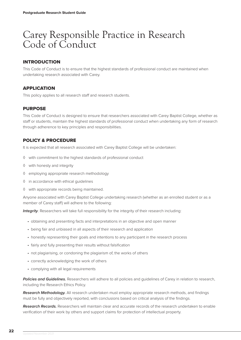### <span id="page-21-0"></span>Carey Responsible Practice in Research Code of Conduct

### INTRODUCTION

This Code of Conduct is to ensure that the highest standards of professional conduct are maintained when undertaking research associated with Carey.

### APPLICATION

This policy applies to all research staff and research students.

### **PURPOSE**

This Code of Conduct is designed to ensure that researchers associated with Carey Baptist College, whether as staff or students, maintain the highest standards of professional conduct when undertaking any form of research through adherence to key principles and responsibilities.

### POLICY & PROCEDURE

It is expected that all research associated with Carey Baptist College will be undertaken:

- ◊ with commitment to the highest standards of professional conduct
- ◊ with honesty and integrity
- ◊ employing appropriate research methodology
- ◊ in accordance with ethical guidelines
- ◊ with appropriate records being maintained.

Anyone associated with Carey Baptist College undertaking research (whether as an enrolled student or as a member of Carey staff) will adhere to the following:

**Integrity**. Researchers will take full responsibility for the integrity of their research including:

- obtaining and presenting facts and interpretations in an objective and open manner
- being fair and unbiased in all aspects of their research and application
- honestly representing their goals and intentions to any participant in the research process
- fairly and fully presenting their results without falsification
- not plagiarising, or condoning the plagiarism of, the works of others
- correctly acknowledging the work of others
- complying with all legal requirements

*Policies and Guidelines.* Researchers will adhere to all policies and guidelines of Carey in relation to research, including the Research Ethics Policy.

*Research Methodology.* All research undertaken must employ appropriate research methods, and findings must be fully and objectively reported, with conclusions based on critical analysis of the findings.

*Research Records.* Researchers will maintain clear and accurate records of the research undertaken to enable verification of their work by others and support claims for protection of intellectual property.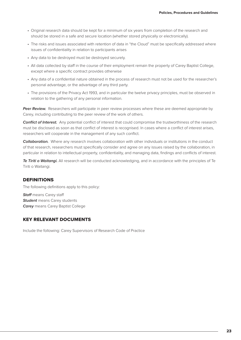- Original research data should be kept for a minimum of six years from completion of the research and should be stored in a safe and secure location (whether stored physically or electronically).
- The risks and issues associated with retention of data in "the Cloud" must be specifically addressed where issues of confidentiality in relation to participants arises
- Any data to be destroyed must be destroyed securely.
- All data collected by staff in the course of their employment remain the property of Carey Baptist College, except where a specific contract provides otherwise
- Any data of a confidential nature obtained in the process of research must not be used for the researcher's personal advantage, or the advantage of any third party.
- The provisions of the Privacy Act 1993, and in particular the twelve privacy principles, must be observed in relation to the gathering of any personal information.

**Peer Review.** Researchers will participate in peer review processes where these are deemed appropriate by Carey, including contributing to the peer review of the work of others.

*Conflict of Interest.* Any potential conflict of interest that could compromise the trustworthiness of the research must be disclosed as soon as that conflict of interest is recognised. In cases where a conflict of interest arises, researchers will cooperate in the management of any such conflict.

*Collaboration.* Where any research involves collaboration with other individuals or institutions in the conduct of that research, researchers must specifically consider and agree on any issues raised by the collaboration, in particular in relation to intellectual property, confidentiality, and managing data, findings and conflicts of interest.

*Te Tiriti o Waitangi.* All research will be conducted acknowledging, and in accordance with the principles of Te Tiriti o Waitangi.

### DEFINITIONS

The following definitions apply to this policy:

*Staff* means Carey staff **Student** means Carey students *Carey* means Carey Baptist College

### KEY RELEVANT DOCUMENTS

Include the following: Carey Supervisors of Research Code of Practice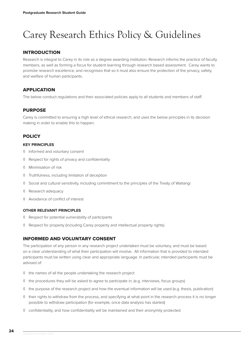## <span id="page-23-0"></span>Carey Research Ethics Policy & Guidelines

### INTRODUCTION

Research is integral to Carey in its role as a degree awarding institution. Research informs the practice of faculty members, as well as forming a focus for student learning through research based assessment. Carey wants to promote research excellence, and recognises that so it must also ensure the protection of the privacy, safety, and welfare of human participants.

### APPLICATION

The below conduct regulations and their associated policies apply to all students and members of staff.

### PURPOSE

Carey is committed to ensuring a high level of ethical research, and uses the below principles in its decision making in order to enable this to happen.

### **POLICY**

### **KEY PRINCIPLES**

- ◊ Informed and voluntary consent
- ◊ Respect for rights of privacy and confidentiality
- ◊ Minimisation of risk
- ◊ Truthfulness, including limitation of deception
- ◊ Social and cultural sensitivity, including commitment to the principles of the Treaty of Waitangi
- ◊ Research adequacy
- ◊ Avoidance of conflict of interest

### **OTHER RELEVANT PRINCIPLES**

- ◊ Respect for potential vulnerability of participants
- ◊ Respect for property (including Carey property and intellectual property rights)

### INFORMED AND VOLUNTARY CONSENT

The participation of any person in any research project undertaken must be voluntary, and must be based on a clear understanding of what their participation will involve. All information that is provided to intended participants must be written using clear and appropriate language. In particular, intended participants must be advised of:

- ◊ the names of all the people undertaking the research project
- ◊ the procedures they will be asked to agree to participate in, (e.g. interviews, focus groups)
- ◊ the purpose of the research project and how the eventual information will be used (e.g. thesis, publication)
- ◊ their rights to withdraw from the process, and specifying at what point in the research process it is no longer possible to withdraw participation (for example, once data analysis has started)
- ◊ confidentiality, and how confidentiality will be maintained and their anonymity protected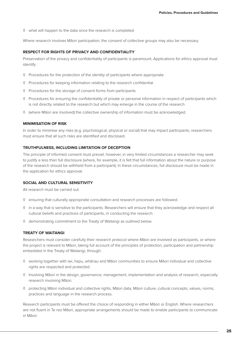◊ what will happen to the data once the research is completed

Where research involves Māori participation, the consent of collective groups may also be necessary.

#### **RESPECT FOR RIGHTS OF PRIVACY AND CONFIDENTIALITY**

Preservation of the privacy and confidentiality of participants is paramount. Applications for ethics approval must identify:

- ◊ Procedures for the protection of the identity of participants where appropriate
- ◊ Procedures for keeping information relating to the research confidential
- ◊ Procedures for the storage of consent forms from participants
- ◊ Procedures for ensuring the confidentiality of private or personal information in respect of participants which is not directly related to the research but which may emerge in the course of the research
- ◊ (where Māori are involved) the collective ownership of information must be acknowledged.

### **MINIMISATION OF RISK**

In order to minimise any risks (e.g. psychological, physical or social) that may impact participants, researchers must ensure that all such risks are identified and disclosed.

### **TRUTHFULNESS, INCLUDING LIMITATION OF DECEPTION**

The principle of informed consent must prevail; however, in very limited circumstances a researcher may seek to justify a less than full disclosure (where, for example, it is felt that full information about the nature or purpose of the research should be withheld from a participant). In these circumstances, full disclosure must be made in the application for ethics approval.

### **SOCIAL AND CULTURAL SENSITIVITY**

All research must be carried out:

- ◊ ensuring that culturally appropriate consultation and research processes are followed.
- ◊ in a way that is sensitive to the participants. Researchers will ensure that they acknowledge and respect all cultural beliefs and practices of participants, in conducting the research.
- ◊ demonstrating commitment to the Treaty of Waitangi as outlined below.

### **TREATY OF WAITANGI**

Researchers must consider carefully their research protocol where Māori are involved as participants, or where the project is relevant to Māori, taking full account of the principles of protection, participation and partnership embedded in the Treaty of Waitangi, through:

- ◊ working together with iwi, hapu, whānau and Māori communities to ensure Māori individual and collective rights are respected and protected.
- ◊ Involving Māori in the design, governance, management, implementation and analysis of research, especially research involving Māori.
- ◊ protecting Māori individual and collective rights, Māori data, Māori culture, cultural concepts, values, norms, practices and language in the research process.

Research participants must be offered the choice of responding in either Māori or English. Where researchers are not fluent in Te reo Māori, appropriate arrangements should be made to enable participants to communicate in Māori.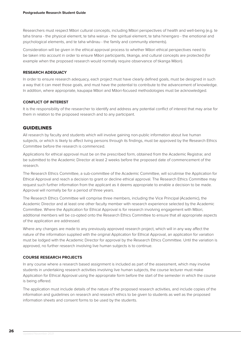Researchers must respect Māori cultural concepts, including Māori perspectives of health and well-being (e.g. te taha tinana - the physical element, te taha wairua - the spiritual element, te taha hinengaro - the emotional and psychological elements, and te taha whānau - the family and community elements).

Consideration will be given in the ethical approval process to whether Māori ethical perspectives need to be taken into account in order to ensure Māori participants, tikanga, and cultural concepts are protected (for example when the proposed research would normally require observance of tikanga Māori).

### **RESEARCH ADEQUACY**

In order to ensure research adequacy, each project must have clearly defined goals, must be designed in such a way that it can meet those goals, and must have the potential to contribute to the advancement of knowledge. In addition, where appropriate, kaupapa Māori and Māori-focused methodologies must be acknowledged.

### **CONFLICT OF INTEREST**

It is the responsibility of the researcher to identify and address any potential conflict of interest that may arise for them in relation to the proposed research and to any participant.

### GUIDELINES

All research by faculty and students which will involve gaining non-public information about live human subjects, or which is likely to affect living persons through its findings, must be approved by the Research Ethics Committee before the research is commenced.

Applications for ethical approval must be on the prescribed form, obtained from the Academic Registrar, and be submitted to the Academic Director at least 2 weeks before the proposed date of commencement of the research.

The Research Ethics Committee, a sub-committee of the Academic Committee, will scrutinise the Application for Ethical Approval and reach a decision to grant or decline ethical approval. The Research Ethics Committee may request such further information from the applicant as it deems appropriate to enable a decision to be made. Approval will normally be for a period of three years.

The Research Ethics Committee will comprise three members, including the Vice Principal (Academic), the Academic Director and at least one other faculty member with research experience selected by the Academic Committee. Where the Application for Ethical Approval is for research involving engagement with Māori, additional members will be co-opted onto the Research Ethics Committee to ensure that all appropriate aspects of the application are addressed.

Where any changes are made to any previously approved research project, which will in any way affect the nature of the information supplied with the original Application for Ethical Approval, an application for variation must be lodged with the Academic Director for approval by the Research Ethics Committee. Until the variation is approved, no further research involving live human subjects is to continue.

### **COURSE RESEARCH PROJECTS**

In any course where a research based assignment is included as part of the assessment, which may involve students in undertaking research activities involving live human subjects, the course lecturer must make Application for Ethical Approval using the appropriate form before the start of the semester in which the course is being offered.

The application must include details of the nature of the proposed research activities, and include copies of the information and guidelines on research and research ethics to be given to students as well as the proposed information sheets and consent forms to be used by the students.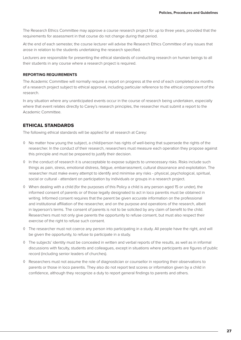The Research Ethics Committee may approve a course research project for up to three years, provided that the requirements for assessment in that course do not change during that period.

At the end of each semester, the course lecturer will advise the Research Ethics Committee of any issues that arose in relation to the students undertaking the research specified.

Lecturers are responsible for presenting the ethical standards of conducting research on human beings to all their students in any course where a research project is required.

### **REPORTING REQUIREMENTS**

The Academic Committee will normally require a report on progress at the end of each completed six months of a research project subject to ethical approval, including particular reference to the ethical component of the research.

In any situation where any unanticipated events occur in the course of research being undertaken, especially where that event relates directly to Carey's research principles, the researcher must submit a report to the Academic Committee.

### ETHICAL STANDARDS

The following ethical standards will be applied for all research at Carey:

- ◊ No matter how young the subject, a child/person has rights of well-being that supersede the rights of the researcher. In the conduct of their research, researchers must measure each operation they propose against this principle and must be prepared to justify their decision.
- ◊ In the conduct of research it is unacceptable to expose subjects to unnecessary risks. Risks include such things as pain, stress, emotional distress, fatigue, embarrassment, cultural dissonance and exploitation. The researcher must make every attempt to identify and minimise any risks - physical, psychological, spiritual, social or cultural - attendant on participation by individuals or groups in a research project.
- ◊ When dealing with a child (for the purposes of this Policy a child is any person aged 15 or under), the informed consent of parents or of those legally designated to act in loco parentis must be obtained in writing. Informed consent requires that the parent be given accurate information on the professional and institutional affiliation of the researcher, and on the purpose and operations of the research, albeit in layperson's terms. The consent of parents is not to be solicited by any claim of benefit to the child. Researchers must not only give parents the opportunity to refuse consent, but must also respect their exercise of the right to refuse such consent.
- ◊ The researcher must not coerce any person into participating in a study. All people have the right, and will be given the opportunity, to refuse to participate in a study.
- ◊ The subjects' identity must be concealed in written and verbal reports of the results, as well as in informal discussions with faculty, students and colleagues, except in situations where participants are figures of public record (including senior leaders of churches).
- ◊ Researchers must not assume the role of diagnostician or counsellor in reporting their observations to parents or those in loco parentis. They also do not report test scores or information given by a child in confidence, although they recognize a duty to report general findings to parents and others.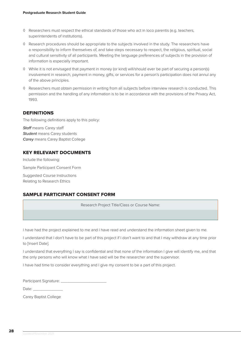- ◊ Researchers must respect the ethical standards of those who act in loco parentis (e.g. teachers, superintendents of institutions).
- ◊ Research procedures should be appropriate to the subjects involved in the study. The researchers have a responsibility to inform themselves of, and take steps necessary to respect, the religious, spiritual, social and cultural sensitivity of all participants. Meeting the language preferences of subjects in the provision of information is especially important.
- ◊ While it is not envisaged that payment in money (or kind) will/should ever be part of securing a person(s) involvement in research, payment in money, gifts, or services for a person's participation does not annul any of the above principles.
- ◊ Researchers must obtain permission in writing from all subjects before interview research is conducted. This permission and the handling of any information is to be in accordance with the provisions of the Privacy Act, 1993.

### DEFINITIONS

The following definitions apply to this policy:

*Staff* means Carey staff *Student* means Carey students *Carey* means Carey Baptist College

### KEY RELEVANT DOCUMENTS

Include the following: Sample Participant Consent Form Suggested Course Instructions Relating to Research Ethics

### SAMPLE PARTICIPANT CONSENT FORM

Research Project Title/Class or Course Name:

I have had the project explained to me and I have read and understand the information sheet given to me.

I understand that I don't have to be part of this project if I don't want to and that I may withdraw at any time prior to [Insert Date].

I understand that everything I say is confidential and that none of the information I give will identify me, and that the only persons who will know what I have said will be the researcher and the supervisor.

I have had time to consider everything and I give my consent to be a part of this project.

Participant Signature:

Date:  $\_\_$ 

Carey Baptist College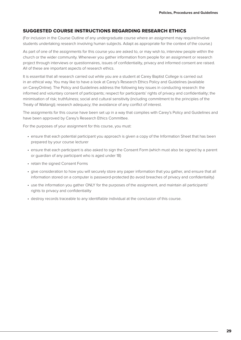### SUGGESTED COURSE INSTRUCTIONS REGARDING RESEARCH ETHICS

(For inclusion in the Course Outline of any undergraduate course where an assignment may require/involve students undertaking research involving human subjects. Adapt as appropriate for the context of the course.)

As part of one of the assignments for this course you are asked to, or may wish to, interview people within the church or the wider community. Whenever you gather information from people for an assignment or research project through interviews or questionnaires, issues of confidentiality, privacy and informed consent are raised. All of these are important aspects of research ethics.

It is essential that all research carried out while you are a student at Carey Baptist College is carried out in an ethical way. You may like to have a look at Carey's Research Ethics Policy and Guidelines (available on CareyOnline). The Policy and Guidelines address the following key issues in conducting research: the informed and voluntary consent of participants; respect for participants' rights of privacy and confidentiality; the minimisation of risk; truthfulness; social and cultural sensitivity (including commitment to the principles of the Treaty of Waitangi); research adequacy; the avoidance of any conflict of interest.

The assignments for this course have been set up in a way that complies with Carey's Policy and Guidelines and have been approved by Carey's Research Ethics Committee.

For the purposes of your assignment for this course, you must:

- ensure that each potential participant you approach is given a copy of the Information Sheet that has been prepared by your course lecturer
- ensure that each participant is also asked to sign the Consent Form (which must also be signed by a parent or guardian of any participant who is aged under 18)
- retain the signed Consent Forms
- give consideration to how you will securely store any paper information that you gather, and ensure that all information stored on a computer is password-protected (to avoid breaches of privacy and confidentiality)
- use the information you gather ONLY for the purposes of the assignment, and maintain all participants' rights to privacy and confidentiality
- destroy records traceable to any identifiable individual at the conclusion of this course.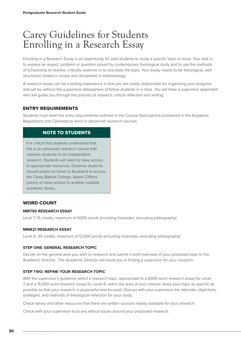### <span id="page-29-0"></span>Carey Guidelines for Students Enrolling in a Research Essay

Enrolling in a Research Essay is an opportunity for able students to study a specific topic or issue. Your task is to explore an aspect, problem or question posed by contemporary theological study and to use the methods of scholarship to resolve, critically examine or to elucidate the topic. Your essay needs to be theological, well structured, limited in scope and disciplined in methodology.

A research essay can be a testing experience in that you are solely responsible for organising your progress and will be without the supportive atmosphere of fellow students in a class. You will have a supervisor appointed who will guide you through the process of research, critical reflection and writing.

### ENTRY REQUIREMENTS

Students must meet the entry requirements outlined in the Course Descriptions (contained in the Academic Regulations and Calendar) to enrol in advanced research courses.

### NOTE TO STUDENTS

It is critical that students understand that this is an advanced research course that requires students to do independent research. Students will need to have access to appropriate resources. Distance students should expect to travel to Auckland to access the Carey Baptist College, Ayson Clifford Library or have access to another suitable academic library.

### WORD COUNT

### **MM790 RESEARCH ESSAY**

Level 7, 15 credits, maximum of 6000 words (including footnotes, excluding bibliography)

### **MM821 RESEARCH ESSAY**

Level 8, 30 credits, maximum of 12,000 words (including footnotes, excluding bibliography)

### **STEP ONE: GENERAL RESEARCH TOPIC**

Decide on the general area you wish to research and submit a brief overview of your proposed topic to the Academic Director. The Academic Director will assist you in finding a supervisor for your research.

### **STEP TWO: REFINE YOUR RESEARCH TOPIC**

With the supervisor's guidance select a research topic, appropriate to a 6000 word research essay for Level 7, and a 15,000 word research essay for Level 8, within the area of your interest. Keep your topic as specific as possible so that your research is purposeful and focused. Discuss with your supervisor the rationale, objectives, strategies, and methods of theological reflection for your study.

Check library and other resources that there are written sources readily available for your research.

Check with your supervisor as to any ethical issues around your proposed research.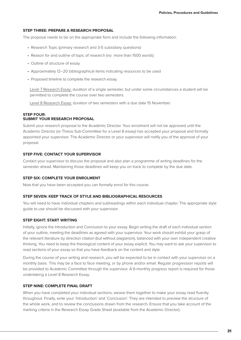### **STEP THREE: PREPARE A RESEARCH PROPOSAL**

The proposal needs to be on the appropriate form and include the following information:

- Research Topic (primary research and 3-5 subsidiary questions)
- Reason for and outline of topic of research (no more than 1500 words)
- Outline of structure of essay
- Approximately 12–20 bibliographical items indicating resources to be used
- Proposed timeline to complete the research essay.

Level 7 Research Essay: duration of a single semester, but under some circumstances a student will be permitted to complete the course over two semesters.

Level 8 Research Essay: duration of two semesters with a due date 15 November.

#### **STEP FOUR: SUBMIT YOUR RESEARCH PROPOSAL**

Submit your research proposal to the Academic Director. Your enrolment will not be approved until the Academic Director (or Thesis Sub-Committee for a Level 8 essay) has accepted your proposal and formally appointed your supervisor. The Academic Director or your supervisor will notify you of the approval of your proposal.

### **STEP FIVE: CONTACT YOUR SUPERVISOR**

Contact your supervisor to discuss the proposal and also plan a programme of writing deadlines for the semester ahead. Maintaining those deadlines will keep you on track to complete by the due date.

### **STEP SIX: COMPLETE YOUR ENROLMENT**

Now that you have been accepted you can formally enrol for this course.

### **STEP SEVEN: KEEP TRACK OF STYLE AND BIBLIOGRAPHICAL RESOURCES**

You will need to have individual chapters and subheadings within each individual chapter. The appropriate style guide to use should be discussed with your supervisor.

### **STEP EIGHT: START WRITING**

Initially, ignore the Introduction and Conclusion to your essay. Begin writing the draft of each individual section of your outline, meeting the deadlines as agreed with your supervisor. Your work should exhibit your grasp of the relevant literature by direction citation (but without plagiarism), balanced with your own independent creative thinking. You need to keep the theological content of your essay explicit. You may want to ask your supervisor to read sections of your essay so that you have feedback on the content and style.

During the course of your writing and research, you will be expected to be in contact with your supervisor on a monthly basis This may be a face to face meeting, or by phone and/or email. Regular progression reports will be provided to Academic Committee through the supervisor. A 6-monthly progress report is required for those undertaking a Level 8 Research Essay.

### **STEP NINE: COMPLETE FINAL DRAFT**

When you have completed your individual sections, weave them together to make your essay read fluently throughout. Finally, write your 'Introduction' and 'Conclusion'. They are intended to preview the structure of the whole work, and to review the conclusions drawn from the research. Ensure that you take account of the marking criteria in the Research Essay Grade Sheet (available from the Academic Director).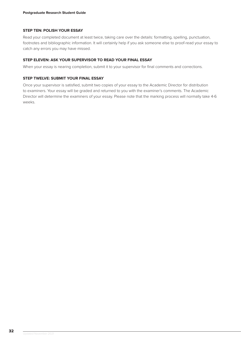### **STEP TEN: POLISH YOUR ESSAY**

Read your completed document at least twice, taking care over the details: formatting, spelling, punctuation, footnotes and bibliographic information. It will certainly help if you ask someone else to proof-read your essay to catch any errors you may have missed.

### **STEP ELEVEN: ASK YOUR SUPERVISOR TO READ YOUR FINAL ESSAY**

When your essay is nearing completion, submit it to your supervisor for final comments and corrections.

### **STEP TWELVE: SUBMIT YOUR FINAL ESSAY**

Once your supervisor is satisfied, submit two copies of your essay to the Academic Director for distribution to examiners. Your essay will be graded and returned to you with the examiner's comments. The Academic Director will determine the examiners of your essay. Please note that the marking process will normally take 4-6 weeks.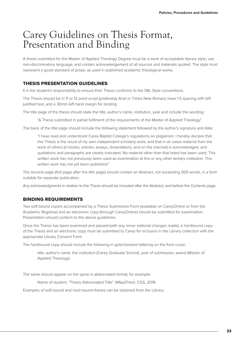### <span id="page-32-0"></span>Carey Guidelines on Thesis Format, Presentation and Binding

A thesis submitted for the Master of Applied Theology Degree must be a work of acceptable literary style, use non-discriminatory language, and contain acknowledgement of all sources and materials quoted. The style must represent a good standard of prose, as used in published academic theological works.

### THESIS PRESENTATION GUIDELINES

It is the student's responsibility to ensure their Thesis conforms to the SBL Style conventions.

The Thesis should be in 11 or 12 point script (preferably Arial or Times New Roman), have 1.5 spacing with left justified text, and a 30mm left hand margin for binding.

The title page of the thesis should state the title, author's name, institution, year and include the wording:

"A Thesis submitted in partial fulfilment of the requirements of the Master of Applied Theology".

The back of the title page should include the following statement followed by the author's signature and date:

"I have read and understood Carey Baptist College's regulations on plagiarism. I hereby declare that this Thesis is the result of my own independent scholarly work, and that in all cases material from the work of others (in books, articles, essays, dissertations, and on the internet) is acknowledged, and quotations and paragraphs are clearly indicated. No material other than that listed has been used. This written work has not previously been used as examination at this or any other tertiary institution. This written work has not yet been published."

The second page (first page after the title page) should contain an Abstract, not exceeding 500 words, in a form suitable for separate publication.

Any acknowledgments in relation to the Thesis should be included after the Abstract, and before the Contents page.

### BINDING REQUIREMENTS

Two soft bound copies accompanied by a Thesis Submission Form (available on CareyOnline or from the Academic Registrar) and an electronic copy (through CareyOnline) should be submitted for examination. Presentation should conform to the above guidelines.

Once the Thesis has been examined and passed (with any minor editorial changes made), a hardbound copy of the Thesis and an electronic copy must be submitted to Carey for inclusion in the Library collection with the appropriate Library Consent Form.

The hardbound copy should include the following in gold-blocked lettering on the front cover:

title, author's name, the institution (Carey Graduate School), year of submission, award (Master of Applied Theology).

The same should appear on the spine in abbreviated format, for example:

Name of student, "Thesis Abbreviated Title", MAppTheol, CGS, 2019.

Examples of soft bound and hard bound theses can be obtained from the Library.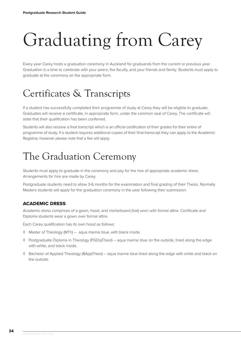# <span id="page-33-0"></span>Graduating from Carey

Every year Carey hosts a graduation ceremony in Auckland for graduands from the current or previous year. Graduation is a time to celebrate with your peers, the faculty, and your friends and family. Students must apply to graduate at the ceremony on the appropriate form.

## Certificates & Transcripts

If a student has successfully completed their programme of study at Carey they will be eligible to graduate. Graduates will receive a certificate, in appropriate form, under the common seal of Carey. The certificate will state that their qualification has been conferred.

Students will also receive a final transcript which is an official certification of their grades for their entire of programme of study. If a student requires additional copies of their final transcript they can apply to the Academic Registrar, however please note that a fee will apply.

## The Graduation Ceremony

Students must apply to graduate in the ceremony and pay for the hire of appropriate academic dress. Arrangements for hire are made by Carey.

Postgraduate students need to allow 3-6 months for the examination and final grading of their Thesis. Normally Masters students will apply for the graduation ceremony in the year following their submission.

### ACADEMIC DRESS

Academic dress comprises of a gown, hood, and mortarboard (hat) worn with formal attire. Certificate and Diploma students wear a gown over formal attire.

Each Carey qualification has its own hood as follows:

- ◊ Master of Theology (MTh) aqua marine blue, with black inside.
- ◊ Postgraduate Diploma in Theology (PGDipTheol) aqua marine blue on the outside, lined along the edge with white, and black inside.
- ◊ Bachelor of Applied Theology (BAppTheol) aqua marine blue lined along the edge with white and black on the outside.